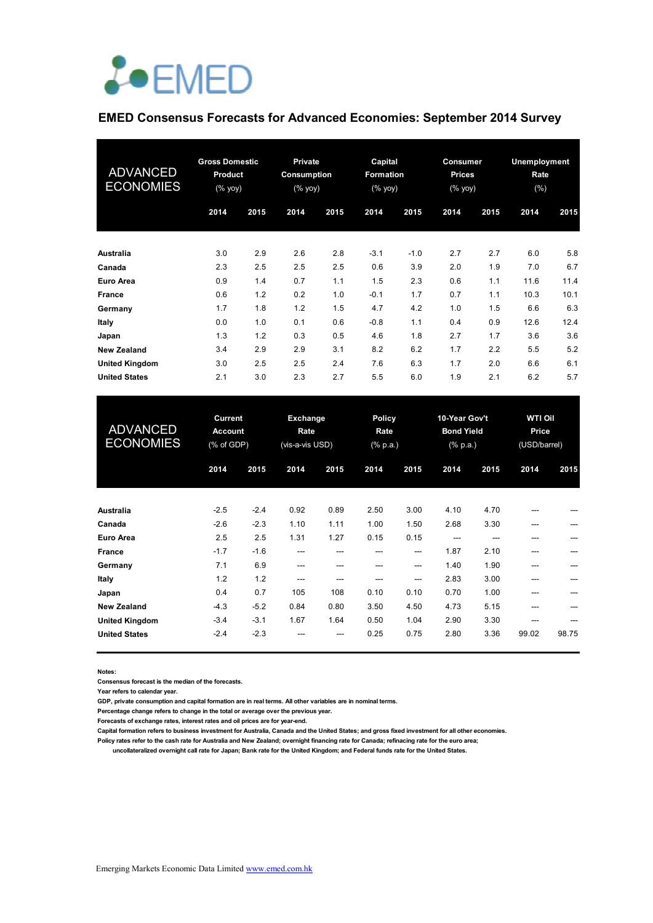

# **EMED Consensus Forecasts for Advanced Economies: September 2014 Survey**

| <b>ADVANCED</b><br><b>ECONOMIES</b> | <b>Gross Domestic</b><br>Product<br>$(%$ (% yoy) |      | <b>Private</b><br>Consumption<br>$(% \mathsf{Y}\cup \mathsf{Y})$ |      | Capital<br><b>Formation</b><br>$(%$ (% yoy) |        | <b>Consumer</b><br><b>Prices</b><br>(% yoy) |      | <b>Unemployment</b><br>Rate<br>(%) |      |
|-------------------------------------|--------------------------------------------------|------|------------------------------------------------------------------|------|---------------------------------------------|--------|---------------------------------------------|------|------------------------------------|------|
|                                     | 2014                                             | 2015 | 2014                                                             | 2015 | 2014                                        | 2015   | 2014                                        | 2015 | 2014                               | 2015 |
| Australia                           | 3.0                                              | 2.9  | 2.6                                                              | 2.8  | $-3.1$                                      | $-1.0$ | 2.7                                         | 2.7  | 6.0                                | 5.8  |
| Canada                              | 2.3                                              | 2.5  | 2.5                                                              | 2.5  | 0.6                                         | 3.9    | 2.0                                         | 1.9  | 7.0                                | 6.7  |
| Euro Area                           | 0.9                                              | 1.4  | 0.7                                                              | 1.1  | 1.5                                         | 2.3    | 0.6                                         | 1.1  | 11.6                               | 11.4 |
| <b>France</b>                       | 0.6                                              | 1.2  | 0.2                                                              | 1.0  | $-0.1$                                      | 1.7    | 0.7                                         | 1.1  | 10.3                               | 10.1 |
| Germany                             | 1.7                                              | 1.8  | 1.2                                                              | 1.5  | 4.7                                         | 4.2    | 1.0                                         | 1.5  | 6.6                                | 6.3  |
| Italy                               | 0.0                                              | 1.0  | 0.1                                                              | 0.6  | $-0.8$                                      | 1.1    | 0.4                                         | 0.9  | 12.6                               | 12.4 |
| Japan                               | 1.3                                              | 1.2  | 0.3                                                              | 0.5  | 4.6                                         | 1.8    | 2.7                                         | 1.7  | 3.6                                | 3.6  |
| <b>New Zealand</b>                  | 3.4                                              | 2.9  | 2.9                                                              | 3.1  | 8.2                                         | 6.2    | 1.7                                         | 2.2  | 5.5                                | 5.2  |
| <b>United Kingdom</b>               | 3.0                                              | 2.5  | 2.5                                                              | 2.4  | 7.6                                         | 6.3    | 1.7                                         | 2.0  | 6.6                                | 6.1  |
| <b>United States</b>                | 2.1                                              | 3.0  | 2.3                                                              | 2.7  | 5.5                                         | 6.0    | 1.9                                         | 2.1  | 6.2                                | 5.7  |

| <b>ADVANCED</b><br><b>ECONOMIES</b> | <b>Current</b><br><b>Account</b><br>% of GDP |        | Exchange<br>Rate<br>(vis-a-vis USD) |      | <b>Policy</b><br>Rate<br>$(% \mathbb{R}^2)$ (% p.a.) |      | 10-Year Gov't<br><b>Bond Yield</b><br>$(% \mathbb{R}^2)$ (% p.a.) |       | <b>WTI Oil</b><br>Price<br>(USD/barrel) |       |
|-------------------------------------|----------------------------------------------|--------|-------------------------------------|------|------------------------------------------------------|------|-------------------------------------------------------------------|-------|-----------------------------------------|-------|
|                                     | 2014                                         | 2015   | 2014                                | 2015 | 2014                                                 | 2015 | 2014                                                              | 2015  | 2014                                    | 2015  |
| <b>Australia</b>                    | $-2.5$                                       | $-2.4$ | 0.92                                | 0.89 | 2.50                                                 | 3.00 | 4.10                                                              | 4.70  | ---                                     |       |
| Canada                              | $-2.6$                                       | $-2.3$ | 1.10                                | 1.11 | 1.00                                                 | 1.50 | 2.68                                                              | 3.30  | ---                                     | ---   |
| Euro Area                           | 2.5                                          | 2.5    | 1.31                                | 1.27 | 0.15                                                 | 0.15 | $---$                                                             | $---$ | ---                                     |       |
| <b>France</b>                       | $-1.7$                                       | $-1.6$ | ---                                 | ---  | ---                                                  | ---  | 1.87                                                              | 2.10  | ---                                     |       |
| Germany                             | 7.1                                          | 6.9    | ---                                 | ---  | $- - -$                                              | ---  | 1.40                                                              | 1.90  | ---                                     | ---   |
| Italy                               | 1.2                                          | 1.2    | ---                                 | ---  | ---                                                  | ---  | 2.83                                                              | 3.00  | ---                                     | ---   |
| Japan                               | 0.4                                          | 0.7    | 105                                 | 108  | 0.10                                                 | 0.10 | 0.70                                                              | 1.00  | ---                                     |       |
| <b>New Zealand</b>                  | $-4.3$                                       | $-5.2$ | 0.84                                | 0.80 | 3.50                                                 | 4.50 | 4.73                                                              | 5.15  | ---                                     |       |
| <b>United Kingdom</b>               | $-3.4$                                       | $-3.1$ | 1.67                                | 1.64 | 0.50                                                 | 1.04 | 2.90                                                              | 3.30  | ---                                     |       |
| <b>United States</b>                | $-2.4$                                       | $-2.3$ |                                     | ---  | 0.25                                                 | 0.75 | 2.80                                                              | 3.36  | 99.02                                   | 98.75 |

**Notes:** 

**Consensus forecast is the median of the forecasts.**

**Year refers to calendar year.**

**GDP, private consumption and capital formation are in real terms. All other variables are in nominal terms.**

**Percentage change refers to change in the total or average over the previous year.**

**Forecasts of exchange rates, interest rates and oil prices are for year-end.**

**Capital formation refers to business investment for Australia, Canada and the United States; and gross fixed investment for all other economies. Policy rates refer to the cash rate for Australia and New Zealand; overnight financing rate for Canada; refinacing rate for the euro area;** 

 **uncollateralized overnight call rate for Japan; Bank rate for the United Kingdom; and Federal funds rate for the United States.**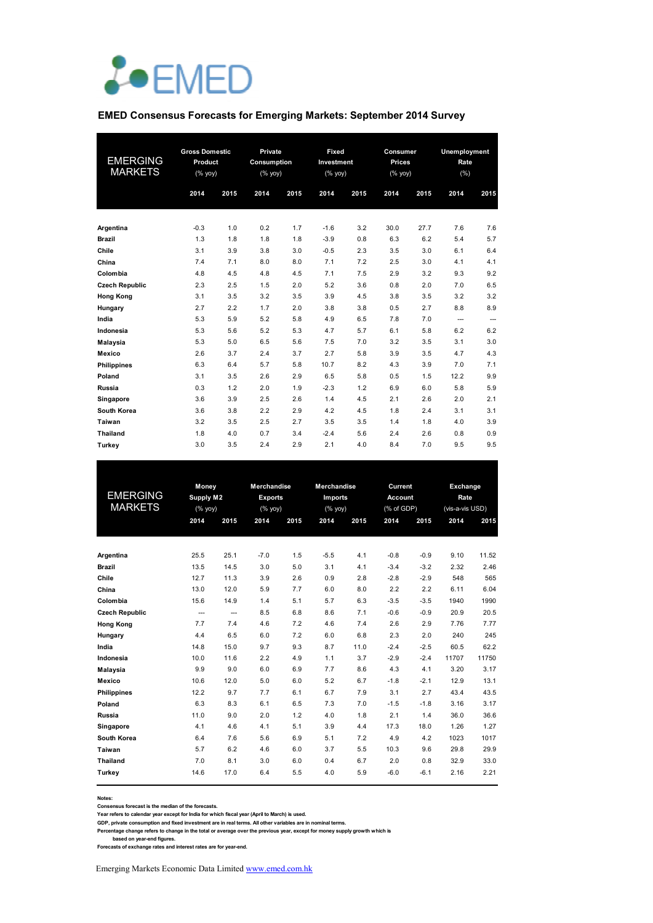

#### **EMED Consensus Forecasts for Emerging Markets: September 2014 Survey**

| <b>EMERGING</b><br><b>MARKETS</b> | <b>Gross Domestic</b><br>Product<br>(%<br>2014 | 2015 | Private<br>Consumption<br>(% yoy)<br>2014 | 2015 | Fixed<br>Investment<br>(% yoy)<br>2014 | 2015 | Consumer<br><b>Prices</b><br>(% yoy)<br>2014 | 2015 | <b>Unemployment</b><br>Rate<br>(%)<br>2014 | 2015 |
|-----------------------------------|------------------------------------------------|------|-------------------------------------------|------|----------------------------------------|------|----------------------------------------------|------|--------------------------------------------|------|
| Argentina                         | $-0.3$                                         | 1.0  | 0.2                                       | 1.7  | $-1.6$                                 | 3.2  | 30.0                                         | 27.7 | 7.6                                        | 7.6  |
| <b>Brazil</b>                     | 1.3                                            | 1.8  | 1.8                                       | 1.8  | $-3.9$                                 | 0.8  | 6.3                                          | 6.2  | 5.4                                        | 5.7  |
| Chile                             | 3.1                                            | 3.9  | 3.8                                       | 3.0  | $-0.5$                                 | 2.3  | 3.5                                          | 3.0  | 6.1                                        | 6.4  |
| China                             | 7.4                                            | 7.1  | 8.0                                       | 8.0  | 7.1                                    | 7.2  | 2.5                                          | 3.0  | 4.1                                        | 4.1  |
| Colombia                          | 4.8                                            | 4.5  | 4.8                                       | 4.5  | 7.1                                    | 7.5  | 2.9                                          | 3.2  | 9.3                                        | 9.2  |
| <b>Czech Republic</b>             | 2.3                                            | 2.5  | 1.5                                       | 2.0  | 5.2                                    | 3.6  | 0.8                                          | 2.0  | 7.0                                        | 6.5  |
| <b>Hong Kong</b>                  | 3.1                                            | 3.5  | 3.2                                       | 3.5  | 3.9                                    | 4.5  | 3.8                                          | 3.5  | 3.2                                        | 3.2  |
| Hungary                           | 2.7                                            | 2.2  | 1.7                                       | 2.0  | 3.8                                    | 3.8  | 0.5                                          | 2.7  | 8.8                                        | 8.9  |
| India                             | 5.3                                            | 5.9  | 5.2                                       | 5.8  | 4.9                                    | 6.5  | 7.8                                          | 7.0  | $\overline{\phantom{a}}$                   | ---  |
| Indonesia                         | 5.3                                            | 5.6  | 5.2                                       | 5.3  | 4.7                                    | 5.7  | 6.1                                          | 5.8  | 6.2                                        | 6.2  |
| Malaysia                          | 5.3                                            | 5.0  | 6.5                                       | 5.6  | 7.5                                    | 7.0  | 3.2                                          | 3.5  | 3.1                                        | 3.0  |
| Mexico                            | 2.6                                            | 3.7  | 2.4                                       | 3.7  | 2.7                                    | 5.8  | 3.9                                          | 3.5  | 4.7                                        | 4.3  |
| <b>Philippines</b>                | 6.3                                            | 6.4  | 5.7                                       | 5.8  | 10.7                                   | 8.2  | 4.3                                          | 3.9  | 7.0                                        | 7.1  |
| Poland                            | 3.1                                            | 3.5  | 2.6                                       | 2.9  | 6.5                                    | 5.8  | 0.5                                          | 1.5  | 12.2                                       | 9.9  |
| Russia                            | 0.3                                            | 1.2  | 2.0                                       | 1.9  | $-2.3$                                 | 1.2  | 6.9                                          | 6.0  | 5.8                                        | 5.9  |
| Singapore                         | 3.6                                            | 3.9  | 2.5                                       | 2.6  | 1.4                                    | 4.5  | 2.1                                          | 2.6  | 2.0                                        | 2.1  |
| South Korea                       | 3.6                                            | 3.8  | 2.2                                       | 2.9  | 4.2                                    | 4.5  | 1.8                                          | 2.4  | 3.1                                        | 3.1  |
| Taiwan                            | 3.2                                            | 3.5  | 2.5                                       | 2.7  | 3.5                                    | 3.5  | 1.4                                          | 1.8  | 4.0                                        | 3.9  |
| <b>Thailand</b>                   | 1.8                                            | 4.0  | 0.7                                       | 3.4  | $-2.4$                                 | 5.6  | 2.4                                          | 2.6  | 0.8                                        | 0.9  |
| Turkey                            | 3.0                                            | 3.5  | 2.4                                       | 2.9  | 2.1                                    | 4.0  | 8.4                                          | 7.0  | 9.5                                        | 9.5  |

|                       | Money          |                | <b>Merchandise</b> |      | <b>Merchandise</b> |      | Current        |        | Exchange        |       |
|-----------------------|----------------|----------------|--------------------|------|--------------------|------|----------------|--------|-----------------|-------|
| <b>EMERGING</b>       | Supply M2      |                | <b>Exports</b>     |      | Imports            |      | <b>Account</b> |        | Rate            |       |
| <b>MARKETS</b>        | (% yoy)        |                | (% yoy)            |      | (% yoy)            |      | (% of GDP)     |        | (vis-a-vis USD) |       |
|                       | 2014           | 2015           | 2014               | 2015 | 2014               | 2015 | 2014           | 2015   | 2014            | 2015  |
|                       |                |                |                    |      |                    |      |                |        |                 |       |
| Argentina             | 25.5           | 25.1           | $-7.0$             | 1.5  | $-5.5$             | 4.1  | $-0.8$         | $-0.9$ | 9.10            | 11.52 |
| <b>Brazil</b>         | 13.5           | 14.5           | 3.0                | 5.0  | 3.1                | 4.1  | $-3.4$         | $-3.2$ | 2.32            | 2.46  |
| Chile                 | 12.7           | 11.3           | 3.9                | 2.6  | 0.9                | 2.8  | $-2.8$         | $-2.9$ | 548             | 565   |
| China                 | 13.0           | 12.0           | 5.9                | 7.7  | 6.0                | 8.0  | 2.2            | 2.2    | 6.11            | 6.04  |
| Colombia              | 15.6           | 14.9           | 1.4                | 5.1  | 5.7                | 6.3  | $-3.5$         | $-3.5$ | 1940            | 1990  |
| <b>Czech Republic</b> | $\overline{a}$ | $\overline{a}$ | 8.5                | 6.8  | 8.6                | 7.1  | $-0.6$         | $-0.9$ | 20.9            | 20.5  |
| <b>Hong Kong</b>      | 7.7            | 7.4            | 4.6                | 7.2  | 4.6                | 7.4  | 2.6            | 2.9    | 7.76            | 7.77  |
| Hungary               | 4.4            | 6.5            | 6.0                | 7.2  | 6.0                | 6.8  | 2.3            | 2.0    | 240             | 245   |
| India                 | 14.8           | 15.0           | 9.7                | 9.3  | 8.7                | 11.0 | $-2.4$         | $-2.5$ | 60.5            | 62.2  |
| Indonesia             | 10.0           | 11.6           | 2.2                | 4.9  | 1.1                | 3.7  | $-2.9$         | $-2.4$ | 11707           | 11750 |
| Malaysia              | 9.9            | 9.0            | 6.0                | 6.9  | 7.7                | 8.6  | 4.3            | 4.1    | 3.20            | 3.17  |
| <b>Mexico</b>         | 10.6           | 12.0           | 5.0                | 6.0  | 5.2                | 6.7  | $-1.8$         | $-2.1$ | 12.9            | 13.1  |
| <b>Philippines</b>    | 12.2           | 9.7            | 7.7                | 6.1  | 6.7                | 7.9  | 3.1            | 2.7    | 43.4            | 43.5  |
| Poland                | 6.3            | 8.3            | 6.1                | 6.5  | 7.3                | 7.0  | $-1.5$         | $-1.8$ | 3.16            | 3.17  |
| Russia                | 11.0           | 9.0            | 2.0                | 1.2  | 4.0                | 1.8  | 2.1            | 1.4    | 36.0            | 36.6  |
| Singapore             | 4.1            | 4.6            | 4.1                | 5.1  | 3.9                | 4.4  | 17.3           | 18.0   | 1.26            | 1.27  |
| South Korea           | 6.4            | 7.6            | 5.6                | 6.9  | 5.1                | 7.2  | 4.9            | 4.2    | 1023            | 1017  |
| Taiwan                | 5.7            | 6.2            | 4.6                | 6.0  | 3.7                | 5.5  | 10.3           | 9.6    | 29.8            | 29.9  |
| <b>Thailand</b>       | 7.0            | 8.1            | 3.0                | 6.0  | 0.4                | 6.7  | 2.0            | 0.8    | 32.9            | 33.0  |
| Turkey                | 14.6           | 17.0           | 6.4                | 5.5  | 4.0                | 5.9  | $-6.0$         | $-6.1$ | 2.16            | 2.21  |
|                       |                |                |                    |      |                    |      |                |        |                 |       |

**Notes:** 

**Consensus forecast is the median of the forecasts.**

**Year refers to calendar year except for India for which fiscal year (April to March) is used. GDP, private consumption and fixed investment are in real terms. All other variables are in nominal terms.**

Percentage change refers to change in the total or average over the previous year, except for money supply growth which is<br>based on year-end figures.<br>Forecasts of exchange rates and interest rates are for year-end.

Emerging Markets Economic Data Limited www.emed.com.hk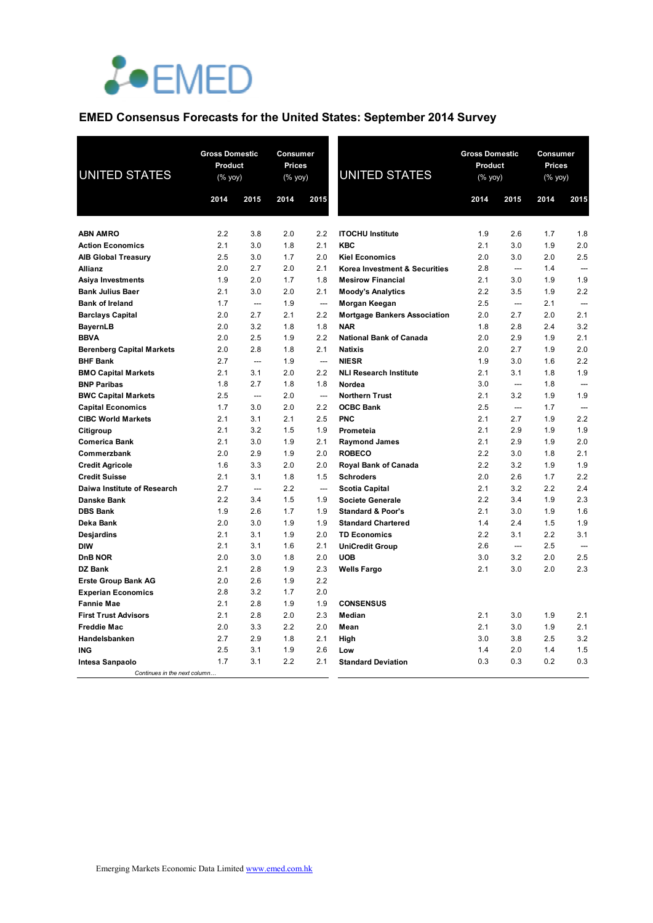

# **EMED Consensus Forecasts for the United States: September 2014 Survey**

| <b>UNITED STATES</b>             | <b>Gross Domestic</b><br>Product<br>(% yoy) |                | Consumer<br>Prices<br>(% yoy) |                | <b>UNITED STATES</b>                         | <b>Gross Domestic</b><br>Product<br>(% yoy) |            | Consumer<br>Prices<br>(% yoy) |                          |
|----------------------------------|---------------------------------------------|----------------|-------------------------------|----------------|----------------------------------------------|---------------------------------------------|------------|-------------------------------|--------------------------|
|                                  | 2014                                        | 2015           | 2014                          | 2015           |                                              | 2014                                        | 2015       | 2014                          | 2015                     |
|                                  |                                             |                |                               |                |                                              |                                             |            |                               |                          |
| <b>ABN AMRO</b>                  | 2.2                                         | 3.8            | 2.0                           | 2.2            | <b>ITOCHU Institute</b>                      | 1.9                                         | 2.6        | 1.7                           | 1.8                      |
| <b>Action Economics</b>          | 2.1                                         | 3.0            | 1.8                           | 2.1            | <b>KBC</b>                                   | 2.1                                         | 3.0        | 1.9                           | 2.0                      |
| <b>AIB Global Treasury</b>       | 2.5                                         | 3.0            | 1.7                           | 2.0            | <b>Kiel Economics</b>                        | 2.0                                         | 3.0        | 2.0                           | 2.5                      |
| <b>Allianz</b>                   | 2.0                                         | 2.7            | 2.0                           | 2.1            | Korea Investment & Securities                | 2.8                                         | ---        | 1.4                           |                          |
| Asiya Investments                | 1.9                                         | 2.0            | 1.7                           | 1.8            | <b>Mesirow Financial</b>                     | 2.1                                         | 3.0        | 1.9                           | 1.9                      |
| <b>Bank Julius Baer</b>          | 2.1                                         | 3.0            | 2.0                           | 2.1            | <b>Moody's Analytics</b>                     | 2.2                                         | 3.5        | 1.9                           | 2.2                      |
| <b>Bank of Ireland</b>           | 1.7                                         | ---            | 1.9                           | $\overline{a}$ | Morgan Keegan                                | 2.5                                         | ---        | 2.1                           | $\sim$                   |
| <b>Barclays Capital</b>          | 2.0                                         | 2.7            | 2.1                           | 2.2            | <b>Mortgage Bankers Association</b>          | 2.0                                         | 2.7        | 2.0<br>2.4                    | 2.1<br>3.2               |
| <b>BayernLB</b><br><b>BBVA</b>   | 2.0<br>2.0                                  | 3.2<br>2.5     | 1.8<br>1.9                    | 1.8<br>2.2     | <b>NAR</b><br><b>National Bank of Canada</b> | 1.8<br>2.0                                  | 2.8<br>2.9 | 1.9                           | 2.1                      |
| <b>Berenberg Capital Markets</b> | 2.0                                         | 2.8            | 1.8                           | 2.1            | <b>Natixis</b>                               | 2.0                                         | 2.7        | 1.9                           | 2.0                      |
| <b>BHF Bank</b>                  | 2.7                                         | $\overline{a}$ | 1.9                           | $\sim$         | <b>NIESR</b>                                 | 1.9                                         | 3.0        | 1.6                           | 2.2                      |
| <b>BMO Capital Markets</b>       | 2.1                                         | 3.1            | 2.0                           | 2.2            | <b>NLI Research Institute</b>                | 2.1                                         | 3.1        | 1.8                           | 1.9                      |
| <b>BNP Paribas</b>               | 1.8                                         | 2.7            | 1.8                           | 1.8            | Nordea                                       | 3.0                                         | ---        | 1.8                           |                          |
| <b>BWC Capital Markets</b>       | 2.5                                         | $\overline{a}$ | 2.0                           | $\sim$         | <b>Northern Trust</b>                        | 2.1                                         | 3.2        | 1.9                           | 1.9                      |
| <b>Capital Economics</b>         | 1.7                                         | 3.0            | 2.0                           | 2.2            | <b>OCBC Bank</b>                             | 2.5                                         | ---        | 1.7                           | $\overline{\phantom{a}}$ |
| <b>CIBC World Markets</b>        | 2.1                                         | 3.1            | 2.1                           | 2.5            | <b>PNC</b>                                   | 2.1                                         | 2.7        | 1.9                           | 2.2                      |
| Citigroup                        | 2.1                                         | 3.2            | 1.5                           | 1.9            | Prometeia                                    | 2.1                                         | 2.9        | 1.9                           | 1.9                      |
| <b>Comerica Bank</b>             | 2.1                                         | 3.0            | 1.9                           | 2.1            | <b>Raymond James</b>                         | 2.1                                         | 2.9        | 1.9                           | 2.0                      |
| Commerzbank                      | 2.0                                         | 2.9            | 1.9                           | 2.0            | <b>ROBECO</b>                                | 2.2                                         | 3.0        | 1.8                           | 2.1                      |
| <b>Credit Agricole</b>           | 1.6                                         | 3.3            | 2.0                           | 2.0            | Royal Bank of Canada                         | 2.2                                         | 3.2        | 1.9                           | 1.9                      |
| <b>Credit Suisse</b>             | 2.1                                         | 3.1            | 1.8                           | 1.5            | <b>Schroders</b>                             | 2.0                                         | 2.6        | 1.7                           | 2.2                      |
| Daiwa Institute of Research      | 2.7                                         | $\sim$         | 2.2                           | $\sim$         | <b>Scotia Capital</b>                        | 2.1                                         | 3.2        | 2.2                           | 2.4                      |
| <b>Danske Bank</b>               | 2.2                                         | 3.4            | 1.5                           | 1.9            | <b>Societe Generale</b>                      | 2.2                                         | 3.4        | 1.9                           | 2.3                      |
| <b>DBS Bank</b>                  | 1.9                                         | 2.6            | 1.7                           | 1.9            | <b>Standard &amp; Poor's</b>                 | 2.1                                         | 3.0        | 1.9                           | 1.6                      |
| Deka Bank                        | 2.0                                         | 3.0            | 1.9                           | 1.9            | <b>Standard Chartered</b>                    | 1.4                                         | 2.4        | 1.5                           | 1.9                      |
| <b>Desjardins</b>                | 2.1                                         | 3.1            | 1.9                           | 2.0            | <b>TD Economics</b>                          | 2.2                                         | 3.1        | 2.2<br>2.5                    | 3.1                      |
| <b>DIW</b><br><b>DnB NOR</b>     | 2.1<br>2.0                                  | 3.1<br>3.0     | 1.6<br>1.8                    | 2.1<br>2.0     | <b>UniCredit Group</b><br><b>UOB</b>         | 2.6<br>3.0                                  | ---<br>3.2 | 2.0                           | 2.5                      |
| <b>DZ Bank</b>                   | 2.1                                         | 2.8            | 1.9                           | 2.3            | <b>Wells Fargo</b>                           | 2.1                                         | 3.0        | 2.0                           | 2.3                      |
| <b>Erste Group Bank AG</b>       | 2.0                                         | 2.6            | 1.9                           | 2.2            |                                              |                                             |            |                               |                          |
| <b>Experian Economics</b>        | 2.8                                         | 3.2            | 1.7                           | 2.0            |                                              |                                             |            |                               |                          |
| <b>Fannie Mae</b>                | 2.1                                         | 2.8            | 1.9                           | 1.9            | <b>CONSENSUS</b>                             |                                             |            |                               |                          |
| <b>First Trust Advisors</b>      | 2.1                                         | 2.8            | 2.0                           | 2.3            | Median                                       | 2.1                                         | 3.0        | 1.9                           | 2.1                      |
| <b>Freddie Mac</b>               | 2.0                                         | 3.3            | 2.2                           | 2.0            | Mean                                         | 2.1                                         | 3.0        | 1.9                           | 2.1                      |
| Handelsbanken                    | 2.7                                         | 2.9            | 1.8                           | 2.1            | High                                         | 3.0                                         | 3.8        | 2.5                           | 3.2                      |
| <b>ING</b>                       | 2.5                                         | 3.1            | 1.9                           | 2.6            | Low                                          | 1.4                                         | 2.0        | 1.4                           | 1.5                      |
| Intesa Sanpaolo                  | 1.7                                         | 3.1            | 2.2                           | 2.1            | <b>Standard Deviation</b>                    | 0.3                                         | 0.3        | 0.2                           | 0.3                      |
| Continues in the next column     |                                             |                |                               |                |                                              |                                             |            |                               |                          |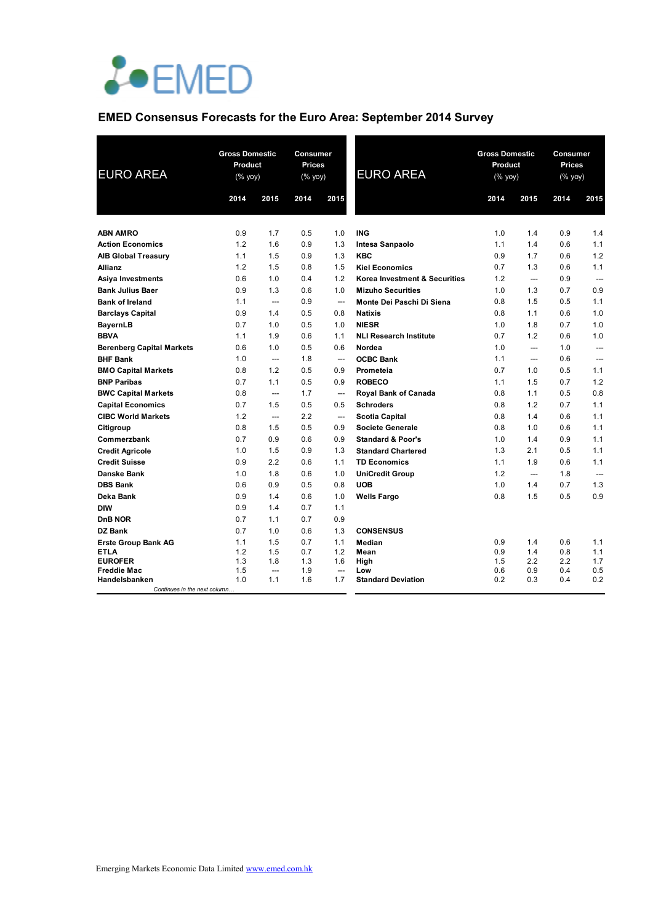

# **EMED Consensus Forecasts for the Euro Area: September 2014 Survey**

| <b>EURO AREA</b>                     | <b>Gross Domestic</b><br>Product<br>$(% \mathsf{Y}^{\prime }\mathsf{Y}^{\prime }\mathsf{Y}^{\prime })$ |                       | Consumer<br><b>Prices</b><br>(% yoy) |                                 | <b>EURO AREA</b>              | <b>Gross Domestic</b><br>Product<br>$(% \mathsf{Y}^{\prime }\mathsf{Y}^{\prime }\mathsf{Y}^{\prime })$ |            | Consumer<br><b>Prices</b><br>(% yoy) |            |
|--------------------------------------|--------------------------------------------------------------------------------------------------------|-----------------------|--------------------------------------|---------------------------------|-------------------------------|--------------------------------------------------------------------------------------------------------|------------|--------------------------------------|------------|
|                                      | 2014                                                                                                   | 2015                  | 2014                                 | 2015                            |                               | 2014                                                                                                   | 2015       | 2014                                 | 2015       |
|                                      |                                                                                                        |                       |                                      |                                 |                               |                                                                                                        |            |                                      |            |
| <b>ABN AMRO</b>                      | 0.9                                                                                                    | 1.7                   | 0.5                                  | 1.0                             | <b>ING</b>                    | 1.0                                                                                                    | 1.4        | 0.9                                  | 1.4        |
| <b>Action Economics</b>              | 1.2                                                                                                    | 1.6                   | 0.9                                  | 1.3                             | Intesa Sanpaolo               | 1.1                                                                                                    | 1.4        | 0.6                                  | 1.1        |
| <b>AIB Global Treasury</b>           | 1.1                                                                                                    | 1.5                   | 0.9                                  | 1.3                             | <b>KBC</b>                    | 0.9                                                                                                    | 1.7        | 0.6                                  | 1.2        |
| <b>Allianz</b>                       | 1.2                                                                                                    | 1.5                   | 0.8                                  | 1.5                             | <b>Kiel Economics</b>         | 0.7                                                                                                    | 1.3        | 0.6                                  | 1.1        |
| Asiya Investments                    | 0.6                                                                                                    | 1.0                   | 0.4                                  | 1.2                             | Korea Investment & Securities | 1.2                                                                                                    | ---        | 0.9                                  |            |
| <b>Bank Julius Baer</b>              | 0.9                                                                                                    | 1.3                   | 0.6                                  | 1.0                             | <b>Mizuho Securities</b>      | 1.0                                                                                                    | 1.3        | 0.7                                  | 0.9        |
| <b>Bank of Ireland</b>               | 1.1                                                                                                    | $\overline{a}$        | 0.9                                  | $\overline{\phantom{a}}$        | Monte Dei Paschi Di Siena     | 0.8                                                                                                    | 1.5        | 0.5                                  | 1.1        |
| <b>Barclays Capital</b>              | 0.9                                                                                                    | 1.4                   | 0.5                                  | 0.8                             | <b>Natixis</b>                | 0.8                                                                                                    | 1.1        | 0.6                                  | 1.0        |
| <b>BayernLB</b>                      | 0.7                                                                                                    | 1.0                   | 0.5                                  | 1.0                             | <b>NIESR</b>                  | 1.0                                                                                                    | 1.8        | 0.7                                  | 1.0        |
| <b>BBVA</b>                          | 1.1                                                                                                    | 1.9                   | 0.6                                  | 1.1                             | <b>NLI Research Institute</b> | 0.7                                                                                                    | 1.2        | 0.6                                  | 1.0        |
| <b>Berenberg Capital Markets</b>     | 0.6                                                                                                    | 1.0                   | 0.5                                  | 0.6                             | Nordea                        | 1.0                                                                                                    | ---        | 1.0                                  | ---        |
| <b>BHF Bank</b>                      | 1.0                                                                                                    | ---                   | 1.8                                  | ---                             | <b>OCBC Bank</b>              | 1.1                                                                                                    | ---        | 0.6                                  | ---        |
| <b>BMO Capital Markets</b>           | 0.8                                                                                                    | 1.2                   | 0.5                                  | 0.9                             | Prometeia                     | 0.7                                                                                                    | 1.0        | 0.5                                  | 1.1        |
| <b>BNP Paribas</b>                   | 0.7                                                                                                    | 1.1                   | 0.5                                  | 0.9                             | <b>ROBECO</b>                 | 1.1                                                                                                    | 1.5        | 0.7                                  | 1.2        |
| <b>BWC Capital Markets</b>           | 0.8                                                                                                    | ---                   | 1.7                                  | $\qquad \qquad \cdots$          | Royal Bank of Canada          | 0.8                                                                                                    | 1.1        | 0.5                                  | 0.8        |
| <b>Capital Economics</b>             | 0.7                                                                                                    | 1.5                   | 0.5                                  | 0.5                             | <b>Schroders</b>              | 0.8                                                                                                    | 1.2        | 0.7                                  | 1.1        |
| <b>CIBC World Markets</b>            | 1.2                                                                                                    | ---                   | 2.2                                  | $\overline{\phantom{a}}$        | <b>Scotia Capital</b>         | 0.8                                                                                                    | 1.4        | 0.6                                  | 1.1        |
| Citigroup                            | 0.8                                                                                                    | 1.5                   | 0.5                                  | 0.9                             | <b>Societe Generale</b>       | 0.8                                                                                                    | 1.0        | 0.6                                  | 1.1        |
| Commerzbank                          | 0.7                                                                                                    | 0.9                   | 0.6                                  | 0.9                             | <b>Standard &amp; Poor's</b>  | 1.0                                                                                                    | 1.4        | 0.9                                  | 1.1        |
| <b>Credit Agricole</b>               | 1.0                                                                                                    | 1.5                   | 0.9                                  | 1.3                             | <b>Standard Chartered</b>     | 1.3                                                                                                    | 2.1        | 0.5                                  | 1.1        |
| <b>Credit Suisse</b>                 | 0.9                                                                                                    | 2.2                   | 0.6                                  | 1.1                             | <b>TD Economics</b>           | 1.1                                                                                                    | 1.9        | 0.6                                  | 1.1        |
| <b>Danske Bank</b>                   | 1.0                                                                                                    | 1.8                   | 0.6                                  | 1.0                             | <b>UniCredit Group</b>        | 1.2                                                                                                    | ---        | 1.8                                  | ---        |
| <b>DBS Bank</b>                      | 0.6                                                                                                    | 0.9                   | 0.5                                  | 0.8                             | <b>UOB</b>                    | 1.0                                                                                                    | 1.4        | 0.7                                  | 1.3        |
| Deka Bank                            | 0.9                                                                                                    | 1.4                   | 0.6                                  | 1.0                             | <b>Wells Fargo</b>            | 0.8                                                                                                    | 1.5        | 0.5                                  | 0.9        |
| <b>DIW</b>                           | 0.9                                                                                                    | 1.4                   | 0.7                                  | 1.1                             |                               |                                                                                                        |            |                                      |            |
| <b>DnB NOR</b>                       | 0.7                                                                                                    | 1.1                   | 0.7                                  | 0.9                             |                               |                                                                                                        |            |                                      |            |
| <b>DZ Bank</b>                       | 0.7                                                                                                    | 1.0                   | 0.6                                  | 1.3                             | <b>CONSENSUS</b>              |                                                                                                        |            |                                      |            |
| <b>Erste Group Bank AG</b>           | 1.1                                                                                                    | 1.5                   | 0.7                                  | 1.1                             | Median                        | 0.9                                                                                                    | 1.4        | 0.6                                  | 1.1        |
| <b>ETLA</b>                          | 1.2                                                                                                    | 1.5                   | 0.7                                  | 1.2                             | Mean                          | 0.9                                                                                                    | 1.4        | 0.8                                  | 1.1        |
| <b>EUROFER</b><br><b>Freddie Mac</b> | 1.3<br>1.5                                                                                             | 1.8<br>$\overline{a}$ | 1.3<br>1.9                           | 1.6<br>$\overline{\phantom{a}}$ | High<br>Low                   | 1.5<br>0.6                                                                                             | 2.2<br>0.9 | 2.2<br>0.4                           | 1.7<br>0.5 |
| Handelsbanken                        | 1.0                                                                                                    | 1.1                   | 1.6                                  | 1.7                             | <b>Standard Deviation</b>     | 0.2                                                                                                    | 0.3        | 0.4                                  | 0.2        |
| Continues in the next column         |                                                                                                        |                       |                                      |                                 |                               |                                                                                                        |            |                                      |            |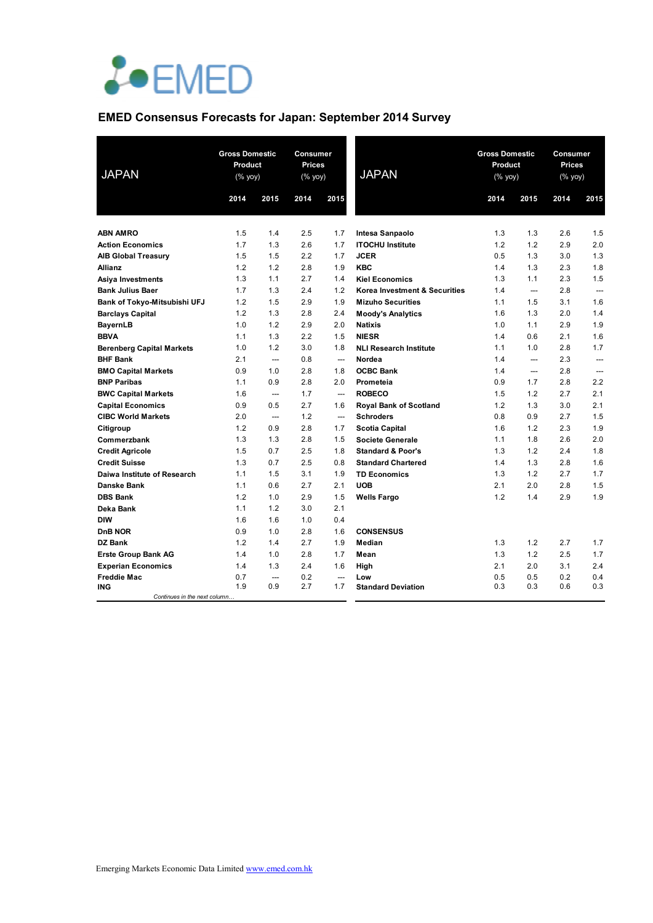

# **EMED Consensus Forecasts for Japan: September 2014 Survey**

| <b>JAPAN</b>                     | <b>Gross Domestic</b><br>Product<br>(% yoy) |                          | Consumer<br><b>Prices</b><br>$(\%$ yoy) |                          | <b>JAPAN</b>                  | <b>Gross Domestic</b><br>Product<br>(% yoy) |                          | Consumer<br><b>Prices</b><br>$(% \mathsf{Y}^{\prime }\mathsf{Y}^{\prime }\mathsf{Y}^{\prime })$ |      |
|----------------------------------|---------------------------------------------|--------------------------|-----------------------------------------|--------------------------|-------------------------------|---------------------------------------------|--------------------------|-------------------------------------------------------------------------------------------------|------|
|                                  | 2014                                        | 2015                     | 2014                                    | 2015                     |                               | 2014                                        | 2015                     | 2014                                                                                            | 2015 |
|                                  |                                             |                          |                                         |                          |                               |                                             |                          |                                                                                                 |      |
| <b>ABN AMRO</b>                  | 1.5                                         | 1.4                      | 2.5                                     | 1.7                      | Intesa Sanpaolo               | 1.3                                         | 1.3                      | 2.6                                                                                             | 1.5  |
| <b>Action Economics</b>          | 1.7                                         | 1.3                      | 2.6                                     | 1.7                      | <b>ITOCHU Institute</b>       | 1.2                                         | 1.2                      | 2.9                                                                                             | 2.0  |
| <b>AIB Global Treasury</b>       | 1.5                                         | 1.5                      | 2.2                                     | 1.7                      | <b>JCER</b>                   | 0.5                                         | 1.3                      | 3.0                                                                                             | 1.3  |
| Allianz                          | 1.2                                         | 1.2                      | 2.8                                     | 1.9                      | <b>KBC</b>                    | 1.4                                         | 1.3                      | 2.3                                                                                             | 1.8  |
| <b>Asiya Investments</b>         | 1.3                                         | 1.1                      | 2.7                                     | 1.4                      | <b>Kiel Economics</b>         | 1.3                                         | 1.1                      | 2.3                                                                                             | 1.5  |
| <b>Bank Julius Baer</b>          | 1.7                                         | 1.3                      | 2.4                                     | 1.2                      | Korea Investment & Securities | 1.4                                         | ---                      | 2.8                                                                                             | ---  |
| Bank of Tokyo-Mitsubishi UFJ     | 1.2                                         | 1.5                      | 2.9                                     | 1.9                      | <b>Mizuho Securities</b>      | 1.1                                         | 1.5                      | 3.1                                                                                             | 1.6  |
| <b>Barclays Capital</b>          | 1.2                                         | 1.3                      | 2.8                                     | 2.4                      | <b>Moody's Analytics</b>      | 1.6                                         | 1.3                      | 2.0                                                                                             | 1.4  |
| <b>BayernLB</b>                  | 1.0                                         | 1.2                      | 2.9                                     | 2.0                      | <b>Natixis</b>                | 1.0                                         | 1.1                      | 2.9                                                                                             | 1.9  |
| <b>BBVA</b>                      | 1.1                                         | 1.3                      | 2.2                                     | 1.5                      | <b>NIESR</b>                  | 1.4                                         | 0.6                      | 2.1                                                                                             | 1.6  |
| <b>Berenberg Capital Markets</b> | 1.0                                         | 1.2                      | 3.0                                     | 1.8                      | <b>NLI Research Institute</b> | 1.1                                         | 1.0                      | 2.8                                                                                             | 1.7  |
| <b>BHF Bank</b>                  | 2.1                                         | ---                      | 0.8                                     | —                        | Nordea                        | 1.4                                         | ---                      | 2.3                                                                                             | ---  |
| <b>BMO Capital Markets</b>       | 0.9                                         | 1.0                      | 2.8                                     | 1.8                      | <b>OCBC Bank</b>              | 1.4                                         | $\overline{\phantom{a}}$ | 2.8                                                                                             | ---  |
| <b>BNP Paribas</b>               | 1.1                                         | 0.9                      | 2.8                                     | 2.0                      | Prometeia                     | 0.9                                         | 1.7                      | 2.8                                                                                             | 2.2  |
| <b>BWC Capital Markets</b>       | 1.6                                         | ---                      | 1.7                                     | $\overline{\phantom{a}}$ | <b>ROBECO</b>                 | 1.5                                         | 1.2                      | 2.7                                                                                             | 2.1  |
| <b>Capital Economics</b>         | 0.9                                         | 0.5                      | 2.7                                     | 1.6                      | <b>Royal Bank of Scotland</b> | 1.2                                         | 1.3                      | 3.0                                                                                             | 2.1  |
| <b>CIBC World Markets</b>        | 2.0                                         | ---                      | 1.2                                     | —                        | <b>Schroders</b>              | 0.8                                         | 0.9                      | 2.7                                                                                             | 1.5  |
| Citigroup                        | 1.2                                         | 0.9                      | 2.8                                     | 1.7                      | <b>Scotia Capital</b>         | 1.6                                         | 1.2                      | 2.3                                                                                             | 1.9  |
| Commerzbank                      | 1.3                                         | 1.3                      | 2.8                                     | 1.5                      | <b>Societe Generale</b>       | 1.1                                         | 1.8                      | 2.6                                                                                             | 2.0  |
| <b>Credit Agricole</b>           | 1.5                                         | 0.7                      | 2.5                                     | 1.8                      | <b>Standard &amp; Poor's</b>  | 1.3                                         | 1.2                      | 2.4                                                                                             | 1.8  |
| <b>Credit Suisse</b>             | 1.3                                         | 0.7                      | 2.5                                     | 0.8                      | <b>Standard Chartered</b>     | 1.4                                         | 1.3                      | 2.8                                                                                             | 1.6  |
| Daiwa Institute of Research      | 1.1                                         | 1.5                      | 3.1                                     | 1.9                      | <b>TD Economics</b>           | 1.3                                         | 1.2                      | 2.7                                                                                             | 1.7  |
| Danske Bank                      | 1.1                                         | 0.6                      | 2.7                                     | 2.1                      | <b>UOB</b>                    | 2.1                                         | 2.0                      | 2.8                                                                                             | 1.5  |
| <b>DBS Bank</b>                  | 1.2                                         | 1.0                      | 2.9                                     | 1.5                      | <b>Wells Fargo</b>            | 1.2                                         | 1.4                      | 2.9                                                                                             | 1.9  |
| Deka Bank                        | 1.1                                         | 1.2                      | 3.0                                     | 2.1                      |                               |                                             |                          |                                                                                                 |      |
| <b>DIW</b>                       | 1.6                                         | 1.6                      | 1.0                                     | 0.4                      |                               |                                             |                          |                                                                                                 |      |
| D <sub>n</sub> B NOR             | 0.9                                         | 1.0                      | 2.8                                     | 1.6                      | <b>CONSENSUS</b>              |                                             |                          |                                                                                                 |      |
| <b>DZ Bank</b>                   | 1.2                                         | 1.4                      | 2.7                                     | 1.9                      | Median                        | 1.3                                         | 1.2                      | 2.7                                                                                             | 1.7  |
| <b>Erste Group Bank AG</b>       | 1.4                                         | 1.0                      | 2.8                                     | 1.7                      | Mean                          | 1.3                                         | 1.2                      | 2.5                                                                                             | 1.7  |
| <b>Experian Economics</b>        | 1.4                                         | 1.3                      | 2.4                                     | 1.6                      | High                          | 2.1                                         | 2.0                      | 3.1                                                                                             | 2.4  |
| <b>Freddie Mac</b>               | 0.7                                         | $\overline{\phantom{a}}$ | 0.2                                     | $\overline{\phantom{a}}$ | Low                           | 0.5                                         | 0.5                      | 0.2                                                                                             | 0.4  |
| ING                              | 1.9                                         | 0.9                      | 2.7                                     | 1.7                      | <b>Standard Deviation</b>     | 0.3                                         | 0.3                      | 0.6                                                                                             | 0.3  |
| Continues in the next column     |                                             |                          |                                         |                          |                               |                                             |                          |                                                                                                 |      |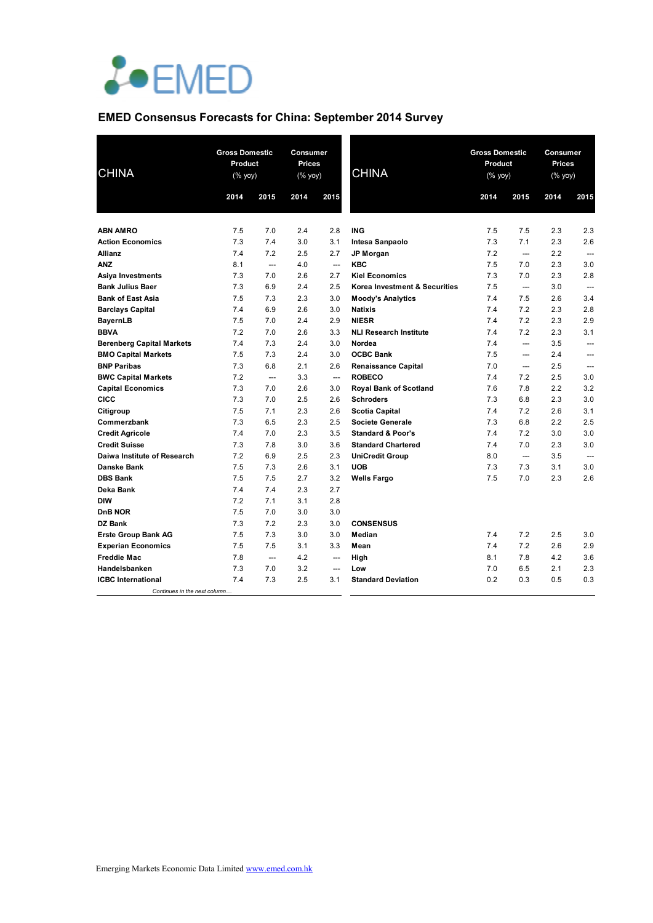

#### **EMED Consensus Forecasts for China: September 2014 Survey**

| <b>CHINA</b>                     | <b>Gross Domestic</b><br><b>Product</b><br>$(% \mathsf{Y}^{\prime }\mathsf{Y}^{\prime }\mathsf{Y}^{\prime })$ |                          | Consumer<br>Prices<br>(% yoy) |                          | <b>CHINA</b>                  | <b>Gross Domestic</b><br>Product<br>$(\%$ yoy) |                          | Consumer<br>Prices<br>(% yoy) |                |
|----------------------------------|---------------------------------------------------------------------------------------------------------------|--------------------------|-------------------------------|--------------------------|-------------------------------|------------------------------------------------|--------------------------|-------------------------------|----------------|
|                                  | 2014                                                                                                          | 2015                     | 2014                          | 2015                     |                               | 2014                                           | 2015                     | 2014                          | 2015           |
|                                  |                                                                                                               |                          |                               |                          |                               |                                                |                          |                               |                |
| <b>ABN AMRO</b>                  | 7.5                                                                                                           | 7.0                      | 2.4                           | 2.8                      | <b>ING</b>                    | 7.5                                            | 7.5                      | 2.3                           | 2.3            |
| <b>Action Economics</b>          | 7.3                                                                                                           | 7.4                      | 3.0                           | 3.1                      | Intesa Sanpaolo               | 7.3                                            | 7.1                      | 2.3                           | 2.6            |
| Allianz                          | 7.4                                                                                                           | 7.2                      | 2.5                           | 2.7                      | <b>JP Morgan</b>              | 7.2                                            | ---                      | 2.2                           |                |
| <b>ANZ</b>                       | 8.1                                                                                                           | $\overline{a}$           | 4.0                           | $\overline{a}$           | <b>KBC</b>                    | 7.5                                            | 7.0                      | 2.3                           | 3.0            |
| Asiya Investments                | 7.3                                                                                                           | 7.0                      | 2.6                           | 2.7                      | <b>Kiel Economics</b>         | 7.3                                            | 7.0                      | 2.3                           | 2.8            |
| <b>Bank Julius Baer</b>          | 7.3                                                                                                           | 6.9                      | 2.4                           | 2.5                      | Korea Investment & Securities | 7.5                                            | ---                      | 3.0                           | $\overline{a}$ |
| <b>Bank of East Asia</b>         | 7.5                                                                                                           | 7.3                      | 2.3                           | 3.0                      | <b>Moody's Analytics</b>      | 7.4                                            | 7.5                      | 2.6                           | 3.4            |
| <b>Barclays Capital</b>          | 7.4                                                                                                           | 6.9                      | 2.6                           | 3.0                      | <b>Natixis</b>                | 7.4                                            | 7.2                      | 2.3                           | 2.8            |
| <b>BayernLB</b>                  | 7.5                                                                                                           | 7.0                      | 2.4                           | 2.9                      | <b>NIESR</b>                  | 7.4                                            | 7.2                      | 2.3                           | 2.9            |
| <b>BBVA</b>                      | 7.2                                                                                                           | 7.0                      | 2.6                           | 3.3                      | <b>NLI Research Institute</b> | 7.4                                            | 7.2                      | 2.3                           | 3.1            |
| <b>Berenberg Capital Markets</b> | 7.4                                                                                                           | 7.3                      | 2.4                           | 3.0                      | Nordea                        | 7.4                                            | $---$                    | 3.5                           | ---            |
| <b>BMO Capital Markets</b>       | 7.5                                                                                                           | 7.3                      | 2.4                           | 3.0                      | <b>OCBC Bank</b>              | 7.5                                            | ---                      | 2.4                           | ---            |
| <b>BNP Paribas</b>               | 7.3                                                                                                           | 6.8                      | 2.1                           | 2.6                      | <b>Renaissance Capital</b>    | 7.0                                            | $\overline{\phantom{a}}$ | 2.5                           | $\overline{a}$ |
| <b>BWC Capital Markets</b>       | 7.2                                                                                                           | $\overline{\phantom{a}}$ | 3.3                           | $\overline{\phantom{a}}$ | <b>ROBECO</b>                 | 7.4                                            | 7.2                      | 2.5                           | 3.0            |
| <b>Capital Economics</b>         | 7.3                                                                                                           | 7.0                      | 2.6                           | 3.0                      | <b>Royal Bank of Scotland</b> | 7.6                                            | 7.8                      | 2.2                           | 3.2            |
| CICC                             | 7.3                                                                                                           | 7.0                      | 2.5                           | 2.6                      | <b>Schroders</b>              | 7.3                                            | 6.8                      | 2.3                           | 3.0            |
| Citigroup                        | 7.5                                                                                                           | 7.1                      | 2.3                           | 2.6                      | <b>Scotia Capital</b>         | 7.4                                            | 7.2                      | 2.6                           | 3.1            |
| Commerzbank                      | 7.3                                                                                                           | 6.5                      | 2.3                           | 2.5                      | <b>Societe Generale</b>       | 7.3                                            | 6.8                      | 2.2                           | 2.5            |
| <b>Credit Agricole</b>           | 7.4                                                                                                           | 7.0                      | 2.3                           | 3.5                      | <b>Standard &amp; Poor's</b>  | 7.4                                            | 7.2                      | 3.0                           | 3.0            |
| <b>Credit Suisse</b>             | 7.3                                                                                                           | 7.8                      | 3.0                           | 3.6                      | <b>Standard Chartered</b>     | 7.4                                            | 7.0                      | 2.3                           | 3.0            |
| Daiwa Institute of Research      | 7.2                                                                                                           | 6.9                      | 2.5                           | 2.3                      | <b>UniCredit Group</b>        | 8.0                                            | $\qquad \qquad \cdots$   | 3.5                           |                |
| <b>Danske Bank</b>               | 7.5                                                                                                           | 7.3                      | 2.6                           | 3.1                      | <b>UOB</b>                    | 7.3                                            | 7.3                      | 3.1                           | 3.0            |
| <b>DBS Bank</b>                  | 7.5                                                                                                           | 7.5                      | 2.7                           | 3.2                      | <b>Wells Fargo</b>            | 7.5                                            | 7.0                      | 2.3                           | 2.6            |
| Deka Bank                        | 7.4                                                                                                           | 7.4                      | 2.3                           | 2.7                      |                               |                                                |                          |                               |                |
| <b>DIW</b>                       | 7.2                                                                                                           | 7.1                      | 3.1                           | 2.8                      |                               |                                                |                          |                               |                |
| <b>DnB NOR</b>                   | 7.5                                                                                                           | 7.0                      | 3.0                           | 3.0                      |                               |                                                |                          |                               |                |
| DZ Bank                          | 7.3                                                                                                           | 7.2                      | 2.3                           | 3.0                      | <b>CONSENSUS</b>              |                                                |                          |                               |                |
| <b>Erste Group Bank AG</b>       | 7.5                                                                                                           | 7.3                      | 3.0                           | 3.0                      | Median                        | 7.4                                            | 7.2                      | 2.5                           | 3.0            |
| <b>Experian Economics</b>        | 7.5                                                                                                           | 7.5                      | 3.1                           | 3.3                      | Mean                          | 7.4                                            | 7.2                      | 2.6                           | 2.9            |
| <b>Freddie Mac</b>               | 7.8                                                                                                           | $\overline{a}$           | 4.2                           | ---                      | High                          | 8.1                                            | 7.8                      | 4.2                           | 3.6            |
| Handelsbanken                    | 7.3                                                                                                           | 7.0                      | 3.2                           | ---                      | Low                           | 7.0                                            | 6.5                      | 2.1                           | 2.3            |
| <b>ICBC</b> International        | 7.4                                                                                                           | 7.3                      | 2.5                           | 3.1                      | <b>Standard Deviation</b>     | 0.2                                            | 0.3                      | 0.5                           | 0.3            |
| Continues in the next column.    |                                                                                                               |                          |                               |                          |                               |                                                |                          |                               |                |